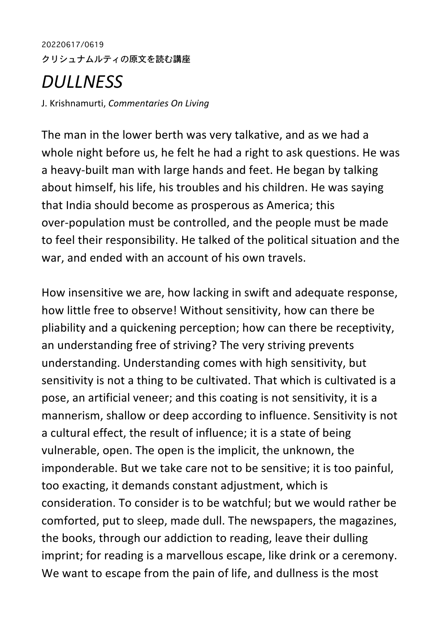## 20220617/0619 クリシュナムルティの原文を読む講座

## *DULLNESS*

J.#Krishnamurti,#*Commentaries'On'Living*

The man in the lower berth was very talkative, and as we had a whole night before us, he felt he had a right to ask questions. He was a heavy-built man with large hands and feet. He began by talking about himself, his life, his troubles and his children. He was saying that India should become as prosperous as America; this over-population must be controlled, and the people must be made to feel their responsibility. He talked of the political situation and the war, and ended with an account of his own travels.

How insensitive we are, how lacking in swift and adequate response, how little free to observe! Without sensitivity, how can there be pliability and a quickening perception; how can there be receptivity, an understanding free of striving? The very striving prevents understanding. Understanding comes with high sensitivity, but sensitivity is not a thing to be cultivated. That which is cultivated is a pose, an artificial veneer; and this coating is not sensitivity, it is a mannerism, shallow or deep according to influence. Sensitivity is not a cultural effect, the result of influence; it is a state of being vulnerable, open. The open is the implicit, the unknown, the imponderable. But we take care not to be sensitive; it is too painful, too exacting, it demands constant adjustment, which is consideration. To consider is to be watchful; but we would rather be comforted, put to sleep, made dull. The newspapers, the magazines, the books, through our addiction to reading, leave their dulling imprint; for reading is a marvellous escape, like drink or a ceremony. We want to escape from the pain of life, and dullness is the most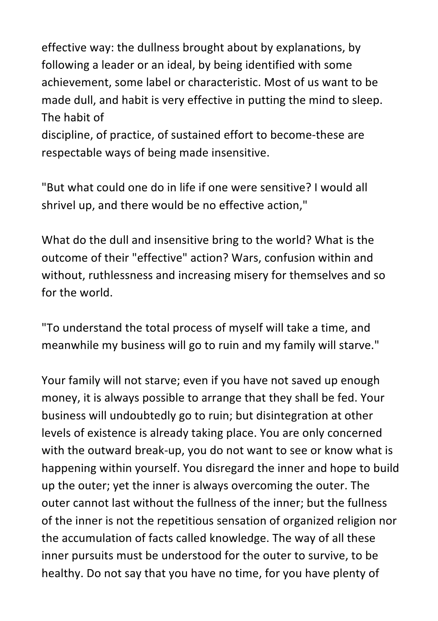effective way: the dullness brought about by explanations, by following a leader or an ideal, by being identified with some achievement, some label or characteristic. Most of us want to be made dull, and habit is very effective in putting the mind to sleep. The habit of

discipline, of practice, of sustained effort to become-these are respectable ways of being made insensitive.

"But what could one do in life if one were sensitive? I would all shrivel up, and there would be no effective action."

What do the dull and insensitive bring to the world? What is the outcome of their "effective" action? Wars, confusion within and without, ruthlessness and increasing misery for themselves and so for the world.

"To understand the total process of myself will take a time, and meanwhile my business will go to ruin and my family will starve."

Your family will not starve; even if you have not saved up enough money, it is always possible to arrange that they shall be fed. Your business will undoubtedly go to ruin; but disintegration at other levels of existence is already taking place. You are only concerned with the outward break-up, you do not want to see or know what is happening within yourself. You disregard the inner and hope to build up the outer; yet the inner is always overcoming the outer. The outer cannot last without the fullness of the inner; but the fullness of the inner is not the repetitious sensation of organized religion nor the accumulation of facts called knowledge. The way of all these inner pursuits must be understood for the outer to survive, to be healthy. Do not say that you have no time, for you have plenty of